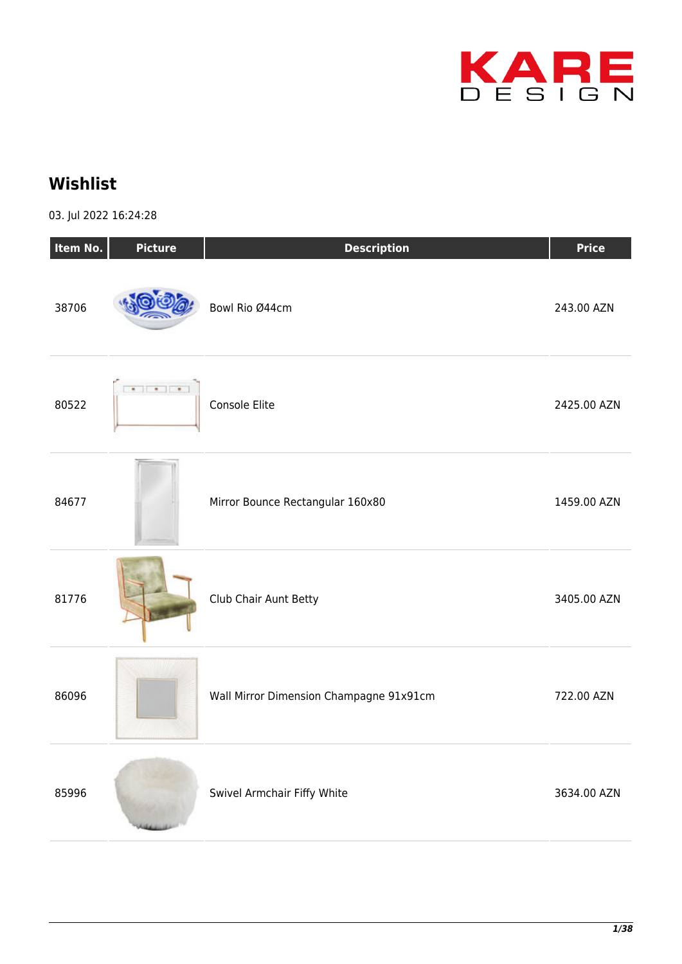

## **Wishlist**

03. Jul 2022 16:24:28

| Item No. | <b>Picture</b> | <b>Description</b>                      | <b>Price</b> |
|----------|----------------|-----------------------------------------|--------------|
| 38706    |                | Bowl Rio Ø44cm                          | 243.00 AZN   |
| 80522    |                | Console Elite                           | 2425.00 AZN  |
| 84677    |                | Mirror Bounce Rectangular 160x80        | 1459.00 AZN  |
| 81776    |                | Club Chair Aunt Betty                   | 3405.00 AZN  |
| 86096    |                | Wall Mirror Dimension Champagne 91x91cm | 722.00 AZN   |
| 85996    |                | Swivel Armchair Fiffy White             | 3634.00 AZN  |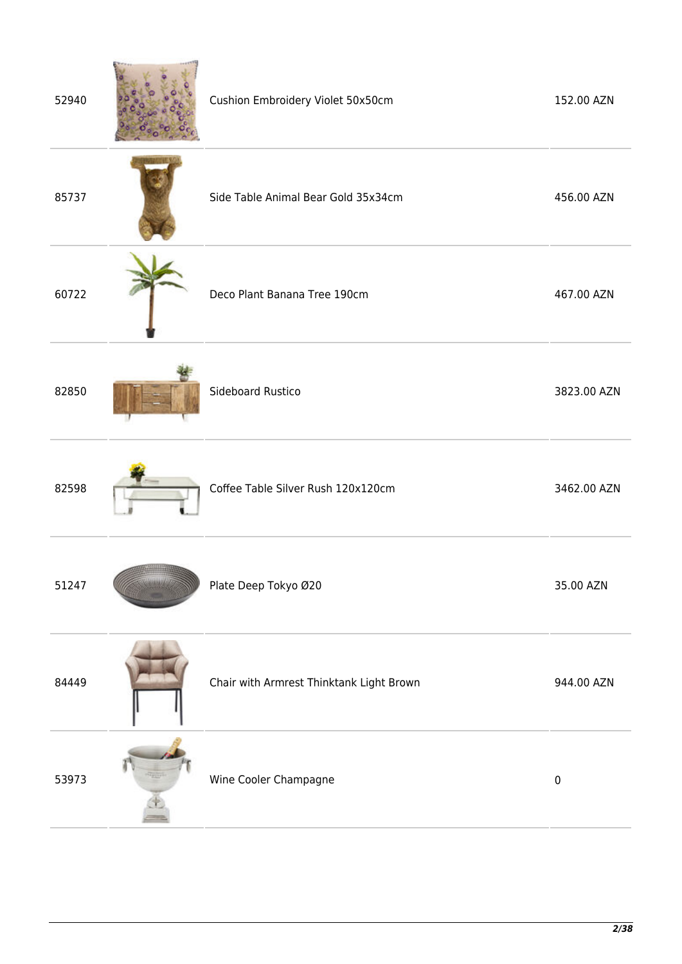| 52940 | Cushion Embroidery Violet 50x50cm        | 152.00 AZN  |
|-------|------------------------------------------|-------------|
| 85737 | Side Table Animal Bear Gold 35x34cm      | 456.00 AZN  |
| 60722 | Deco Plant Banana Tree 190cm             | 467.00 AZN  |
| 82850 | Sideboard Rustico                        | 3823.00 AZN |
| 82598 | Coffee Table Silver Rush 120x120cm       | 3462.00 AZN |
| 51247 | Plate Deep Tokyo Ø20                     | 35.00 AZN   |
| 84449 | Chair with Armrest Thinktank Light Brown | 944.00 AZN  |
| 53973 | Wine Cooler Champagne                    | $\pmb{0}$   |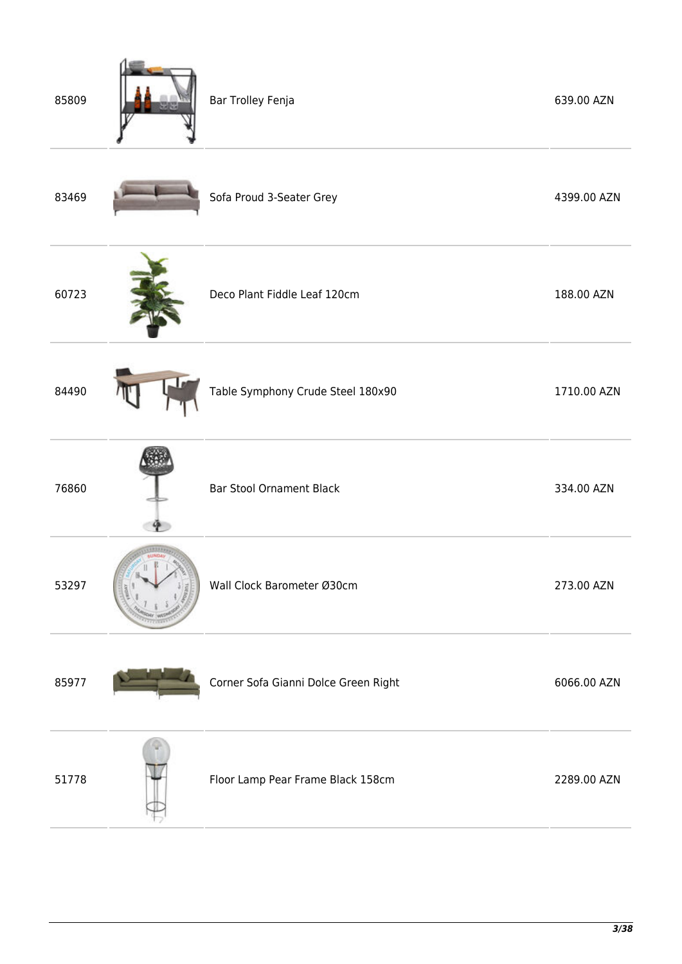| 85809 | Bar Trolley Fenja                    | 639.00 AZN  |
|-------|--------------------------------------|-------------|
| 83469 | Sofa Proud 3-Seater Grey             | 4399.00 AZN |
| 60723 | Deco Plant Fiddle Leaf 120cm         | 188.00 AZN  |
| 84490 | Table Symphony Crude Steel 180x90    | 1710.00 AZN |
| 76860 | <b>Bar Stool Ornament Black</b>      | 334.00 AZN  |
| 53297 | Wall Clock Barometer Ø30cm           | 273.00 AZN  |
| 85977 | Corner Sofa Gianni Dolce Green Right | 6066.00 AZN |
| 51778 | Floor Lamp Pear Frame Black 158cm    | 2289.00 AZN |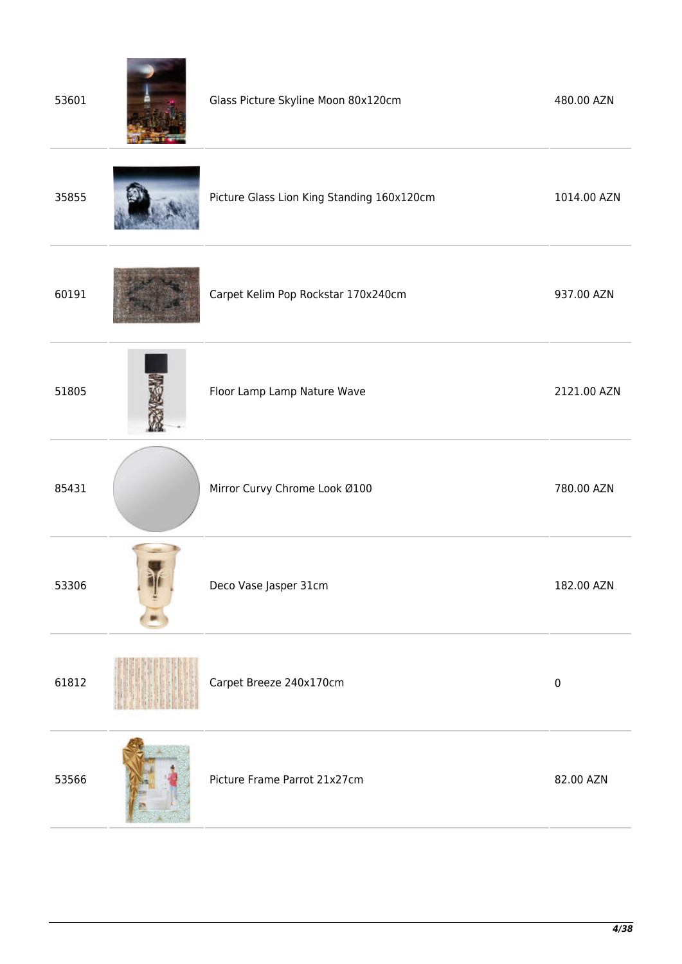| 53601 | Glass Picture Skyline Moon 80x120cm        | 480.00 AZN  |
|-------|--------------------------------------------|-------------|
| 35855 | Picture Glass Lion King Standing 160x120cm | 1014.00 AZN |
| 60191 | Carpet Kelim Pop Rockstar 170x240cm        | 937.00 AZN  |
| 51805 | Floor Lamp Lamp Nature Wave                | 2121.00 AZN |
| 85431 | Mirror Curvy Chrome Look Ø100              | 780.00 AZN  |
| 53306 | Deco Vase Jasper 31cm                      | 182.00 AZN  |
| 61812 | Carpet Breeze 240x170cm                    | $\pmb{0}$   |
| 53566 | Picture Frame Parrot 21x27cm               | 82.00 AZN   |
|       |                                            |             |

×

**Contract Contract Contract** 

ä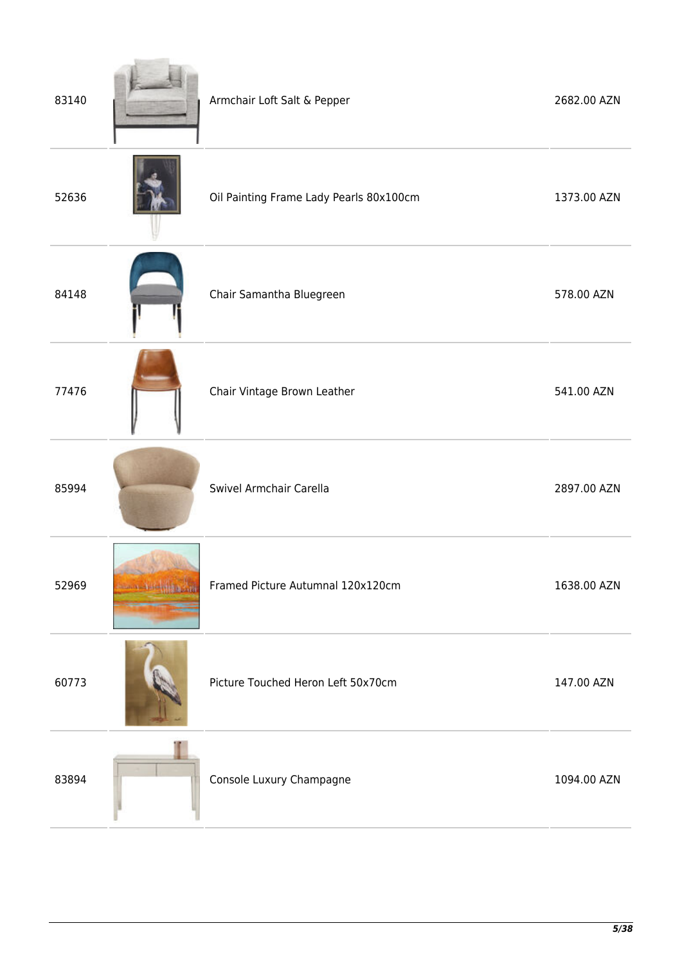| 83140 |                                  | Armchair Loft Salt & Pepper             | 2682.00 AZN |
|-------|----------------------------------|-----------------------------------------|-------------|
| 52636 |                                  | Oil Painting Frame Lady Pearls 80x100cm | 1373.00 AZN |
| 84148 |                                  | Chair Samantha Bluegreen                | 578.00 AZN  |
| 77476 |                                  | Chair Vintage Brown Leather             | 541.00 AZN  |
| 85994 |                                  | Swivel Armchair Carella                 | 2897.00 AZN |
| 52969 | <b>Some Address of the State</b> | Framed Picture Autumnal 120x120cm       | 1638.00 AZN |
| 60773 |                                  | Picture Touched Heron Left 50x70cm      | 147.00 AZN  |
| 83894 |                                  | Console Luxury Champagne                | 1094.00 AZN |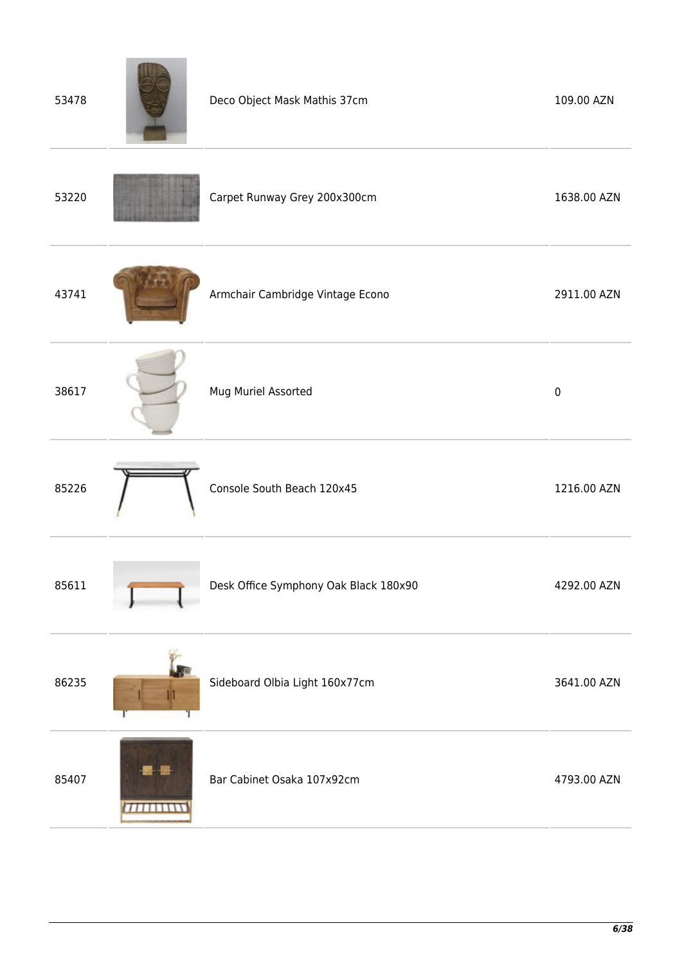| 53478 |                       | Deco Object Mask Mathis 37cm          | 109.00 AZN  |
|-------|-----------------------|---------------------------------------|-------------|
| 53220 |                       | Carpet Runway Grey 200x300cm          | 1638.00 AZN |
| 43741 |                       | Armchair Cambridge Vintage Econo      | 2911.00 AZN |
| 38617 |                       | Mug Muriel Assorted                   | $\pmb{0}$   |
| 85226 |                       | Console South Beach 120x45            | 1216.00 AZN |
| 85611 |                       | Desk Office Symphony Oak Black 180x90 | 4292.00 AZN |
| 86235 |                       | Sideboard Olbia Light 160x77cm        | 3641.00 AZN |
| 85407 | <del>,,,,,,,,,,</del> | Bar Cabinet Osaka 107x92cm            | 4793.00 AZN |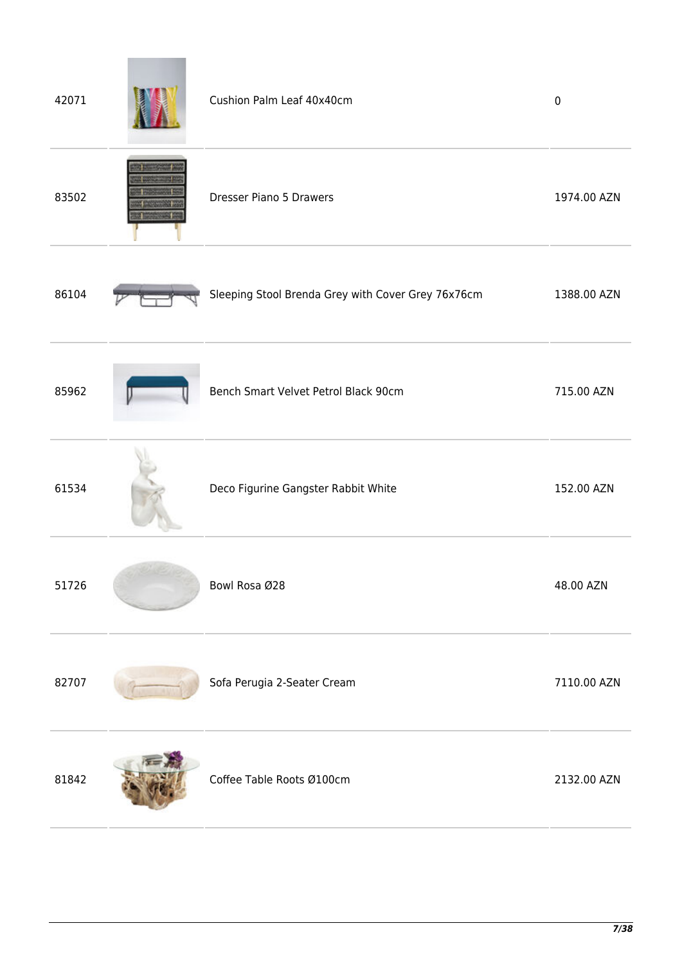| 42071 | Cushion Palm Leaf 40x40cm                          | $\pmb{0}$   |
|-------|----------------------------------------------------|-------------|
| 83502 | <b>Dresser Piano 5 Drawers</b>                     | 1974.00 AZN |
| 86104 | Sleeping Stool Brenda Grey with Cover Grey 76x76cm | 1388.00 AZN |
| 85962 | Bench Smart Velvet Petrol Black 90cm               | 715.00 AZN  |
| 61534 | Deco Figurine Gangster Rabbit White                | 152.00 AZN  |
| 51726 | Bowl Rosa Ø28                                      | 48.00 AZN   |
| 82707 | Sofa Perugia 2-Seater Cream                        | 7110.00 AZN |
| 81842 | Coffee Table Roots Ø100cm                          | 2132.00 AZN |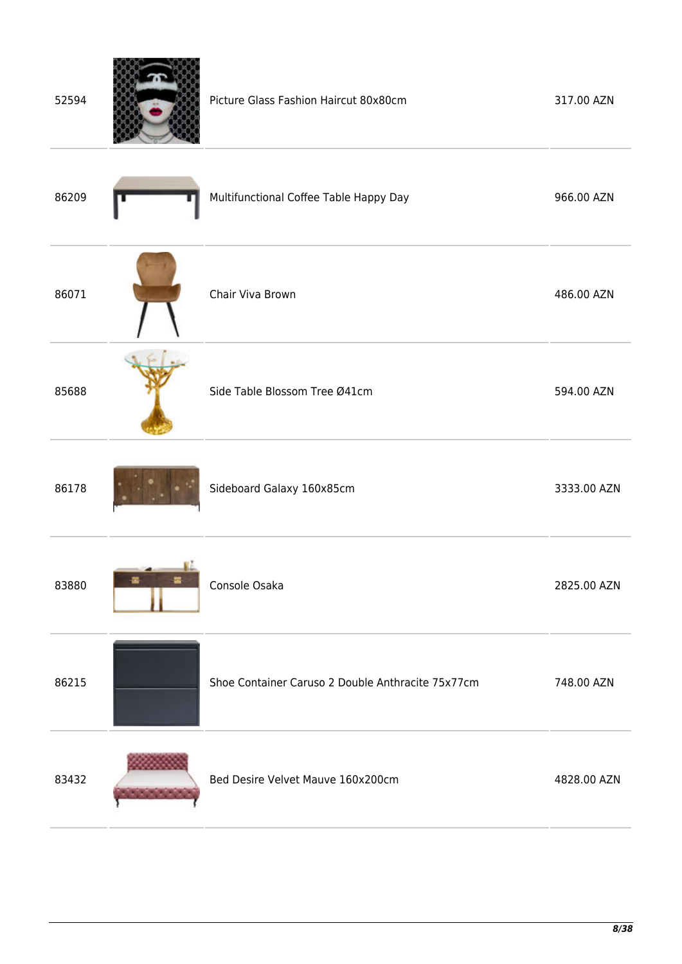| 52594 |        | Picture Glass Fashion Haircut 80x80cm             | 317.00 AZN  |
|-------|--------|---------------------------------------------------|-------------|
| 86209 |        | Multifunctional Coffee Table Happy Day            | 966.00 AZN  |
| 86071 |        | Chair Viva Brown                                  | 486.00 AZN  |
| 85688 |        | Side Table Blossom Tree Ø41cm                     | 594.00 AZN  |
| 86178 |        | Sideboard Galaxy 160x85cm                         | 3333.00 AZN |
| 83880 | 霳<br>을 | Console Osaka                                     | 2825.00 AZN |
| 86215 |        | Shoe Container Caruso 2 Double Anthracite 75x77cm | 748.00 AZN  |
| 83432 |        | Bed Desire Velvet Mauve 160x200cm                 | 4828.00 AZN |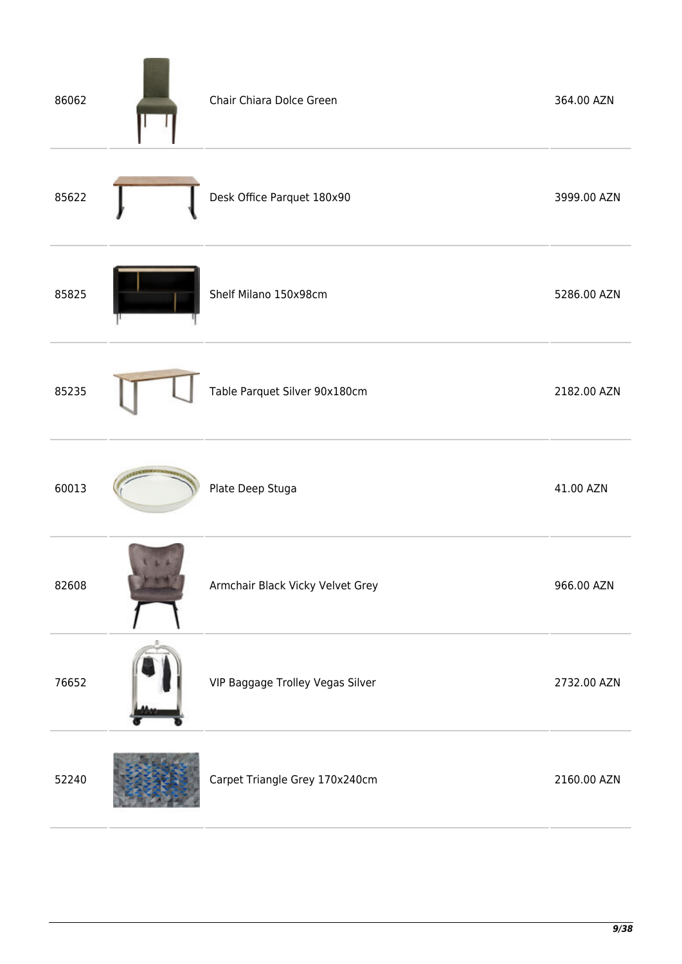| 86062 | Chair Chiara Dolce Green         | 364.00 AZN  |
|-------|----------------------------------|-------------|
| 85622 | Desk Office Parquet 180x90       | 3999.00 AZN |
| 85825 | Shelf Milano 150x98cm            | 5286.00 AZN |
| 85235 | Table Parquet Silver 90x180cm    | 2182.00 AZN |
| 60013 | Plate Deep Stuga                 | 41.00 AZN   |
| 82608 | Armchair Black Vicky Velvet Grey | 966.00 AZN  |
| 76652 | VIP Baggage Trolley Vegas Silver | 2732.00 AZN |
| 52240 | Carpet Triangle Grey 170x240cm   | 2160.00 AZN |

 $\overline{a}$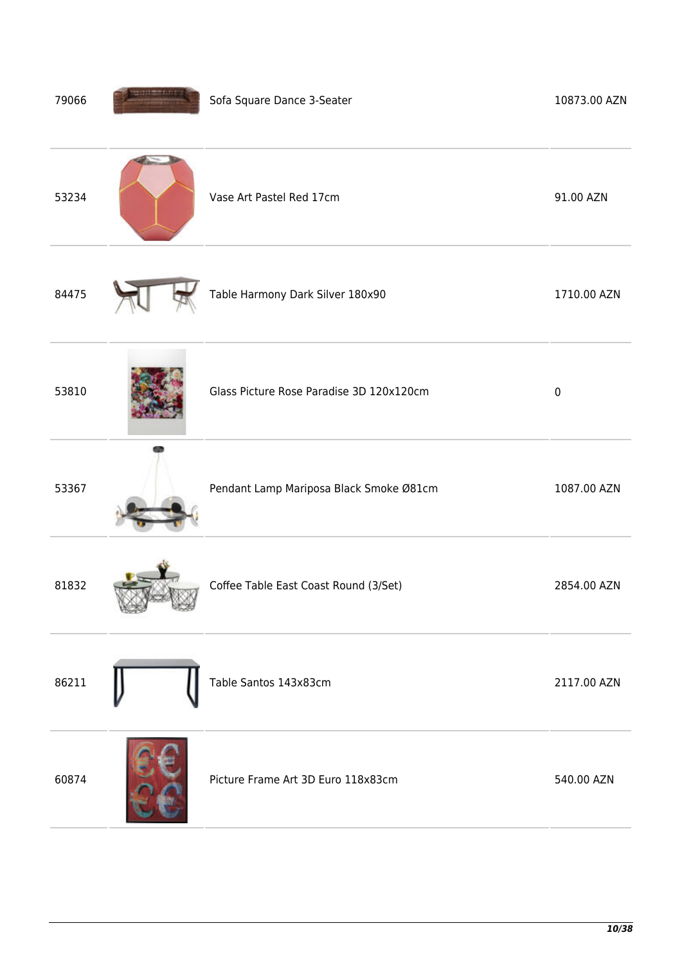| 79066 | Sofa Square Dance 3-Seater               | 10873.00 AZN |
|-------|------------------------------------------|--------------|
| 53234 | Vase Art Pastel Red 17cm                 | 91.00 AZN    |
| 84475 | Table Harmony Dark Silver 180x90         | 1710.00 AZN  |
| 53810 | Glass Picture Rose Paradise 3D 120x120cm | $\pmb{0}$    |
| 53367 | Pendant Lamp Mariposa Black Smoke Ø81cm  | 1087.00 AZN  |
| 81832 | Coffee Table East Coast Round (3/Set)    | 2854.00 AZN  |
| 86211 | Table Santos 143x83cm                    | 2117.00 AZN  |
| 60874 | Picture Frame Art 3D Euro 118x83cm       | 540.00 AZN   |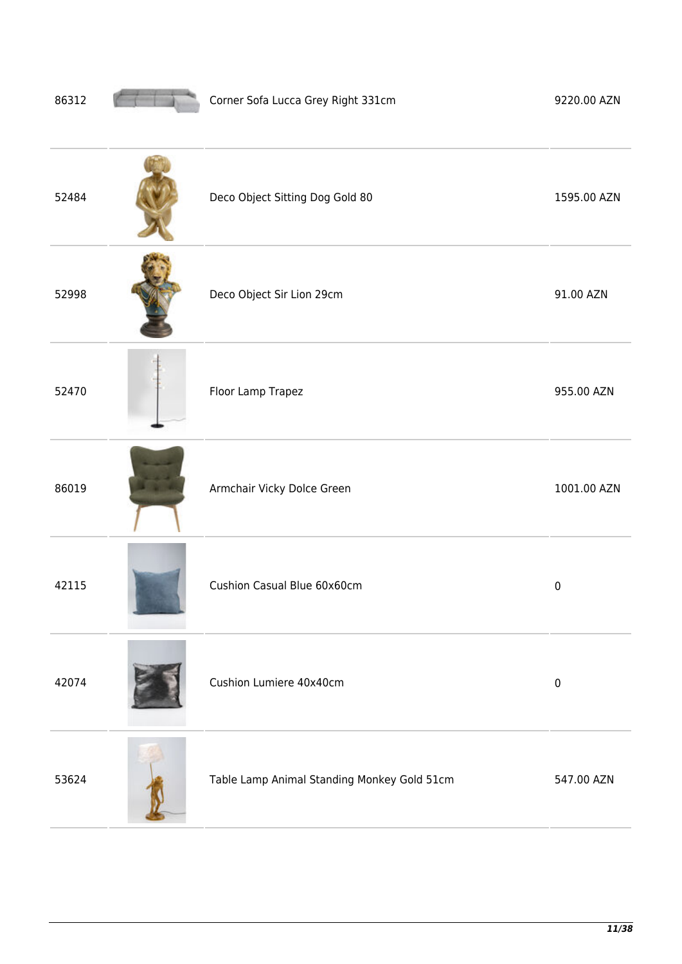| 86312 | Corner Sofa Lucca Grey Right 331cm          | 9220.00 AZN |
|-------|---------------------------------------------|-------------|
| 52484 | Deco Object Sitting Dog Gold 80             | 1595.00 AZN |
| 52998 | Deco Object Sir Lion 29cm                   | 91.00 AZN   |
| 52470 | Floor Lamp Trapez                           | 955.00 AZN  |
| 86019 | Armchair Vicky Dolce Green                  | 1001.00 AZN |
| 42115 | Cushion Casual Blue 60x60cm                 | $\pmb{0}$   |
| 42074 | Cushion Lumiere 40x40cm                     | $\pmb{0}$   |
| 53624 | Table Lamp Animal Standing Monkey Gold 51cm | 547.00 AZN  |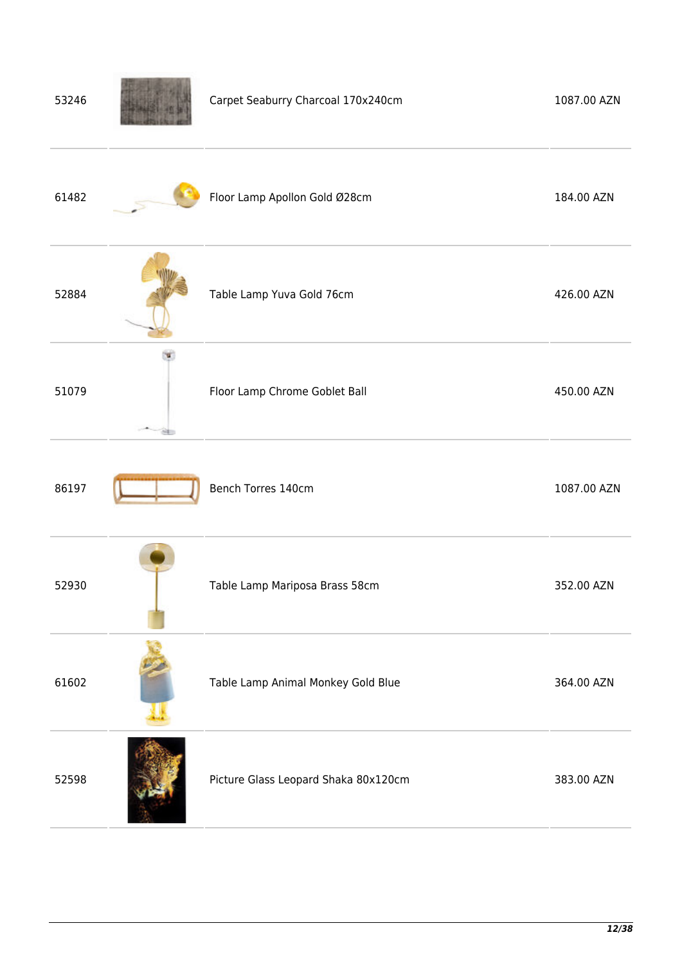| 53246 | Carpet Seaburry Charcoal 170x240cm   | 1087.00 AZN |
|-------|--------------------------------------|-------------|
| 61482 | Floor Lamp Apollon Gold Ø28cm        | 184.00 AZN  |
| 52884 | Table Lamp Yuva Gold 76cm            | 426.00 AZN  |
| 51079 | Floor Lamp Chrome Goblet Ball        | 450.00 AZN  |
| 86197 | Bench Torres 140cm                   | 1087.00 AZN |
| 52930 | Table Lamp Mariposa Brass 58cm       | 352.00 AZN  |
| 61602 | Table Lamp Animal Monkey Gold Blue   | 364.00 AZN  |
| 52598 | Picture Glass Leopard Shaka 80x120cm | 383.00 AZN  |
|       |                                      |             |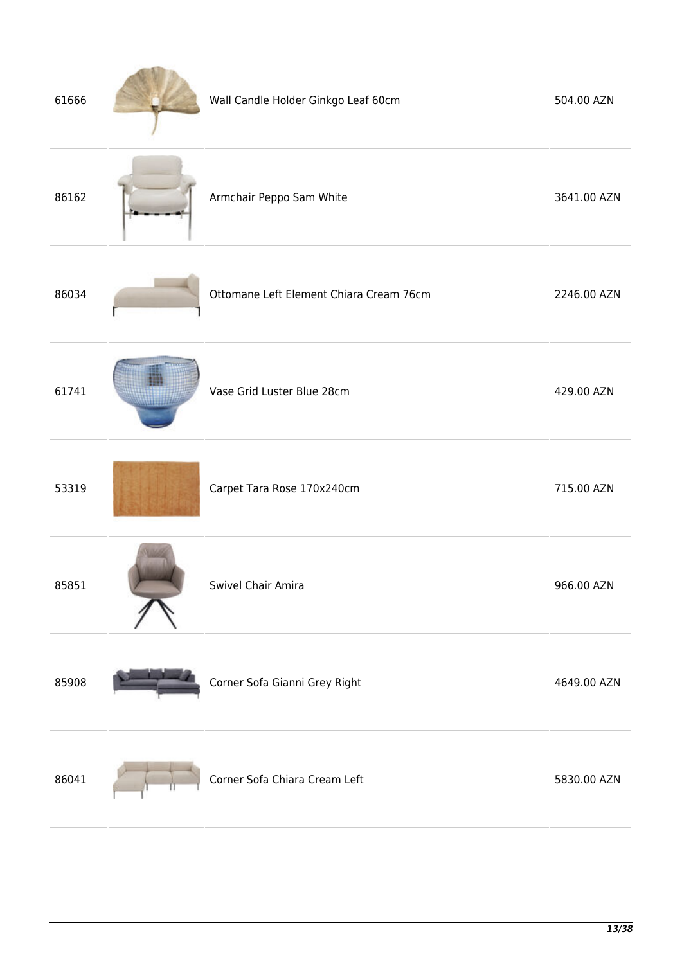| 61666 | Wall Candle Holder Ginkgo Leaf 60cm     | 504.00 AZN  |
|-------|-----------------------------------------|-------------|
| 86162 | Armchair Peppo Sam White                | 3641.00 AZN |
| 86034 | Ottomane Left Element Chiara Cream 76cm | 2246.00 AZN |
| 61741 | Vase Grid Luster Blue 28cm              | 429.00 AZN  |
| 53319 | Carpet Tara Rose 170x240cm              | 715.00 AZN  |
| 85851 | Swivel Chair Amira                      | 966.00 AZN  |
| 85908 | Corner Sofa Gianni Grey Right           | 4649.00 AZN |
| 86041 | Corner Sofa Chiara Cream Left           | 5830.00 AZN |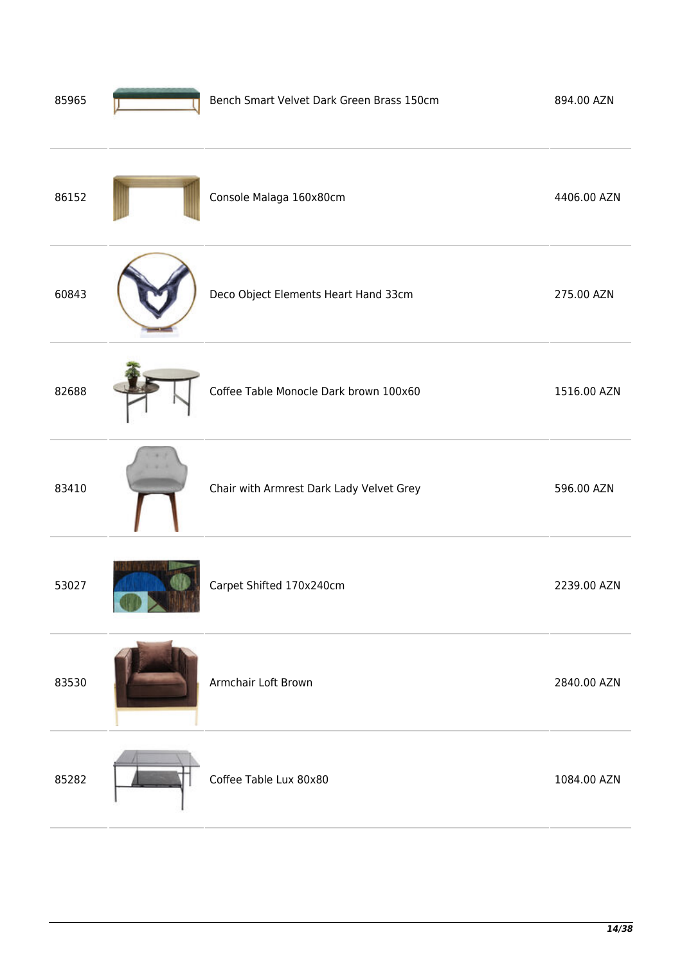| 85965 | Bench Smart Velvet Dark Green Brass 150cm | 894.00 AZN  |
|-------|-------------------------------------------|-------------|
| 86152 | Console Malaga 160x80cm                   | 4406.00 AZN |
| 60843 | Deco Object Elements Heart Hand 33cm      | 275.00 AZN  |
| 82688 | Coffee Table Monocle Dark brown 100x60    | 1516.00 AZN |
| 83410 | Chair with Armrest Dark Lady Velvet Grey  | 596.00 AZN  |
| 53027 | Carpet Shifted 170x240cm                  | 2239.00 AZN |
| 83530 | Armchair Loft Brown                       | 2840.00 AZN |
| 85282 | Coffee Table Lux 80x80                    | 1084.00 AZN |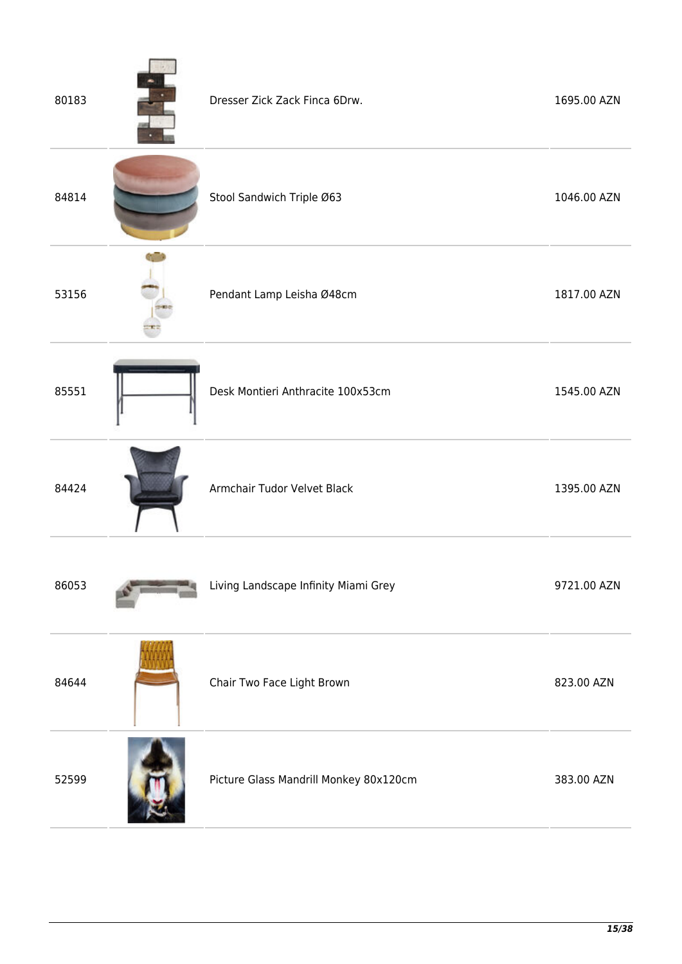| 80183 | Dresser Zick Zack Finca 6Drw.          | 1695.00 AZN |
|-------|----------------------------------------|-------------|
| 84814 | Stool Sandwich Triple Ø63              | 1046.00 AZN |
| 53156 | Pendant Lamp Leisha Ø48cm              | 1817.00 AZN |
| 85551 | Desk Montieri Anthracite 100x53cm      | 1545.00 AZN |
| 84424 | Armchair Tudor Velvet Black            | 1395.00 AZN |
| 86053 | Living Landscape Infinity Miami Grey   | 9721.00 AZN |
| 84644 | Chair Two Face Light Brown             | 823.00 AZN  |
| 52599 | Picture Glass Mandrill Monkey 80x120cm | 383.00 AZN  |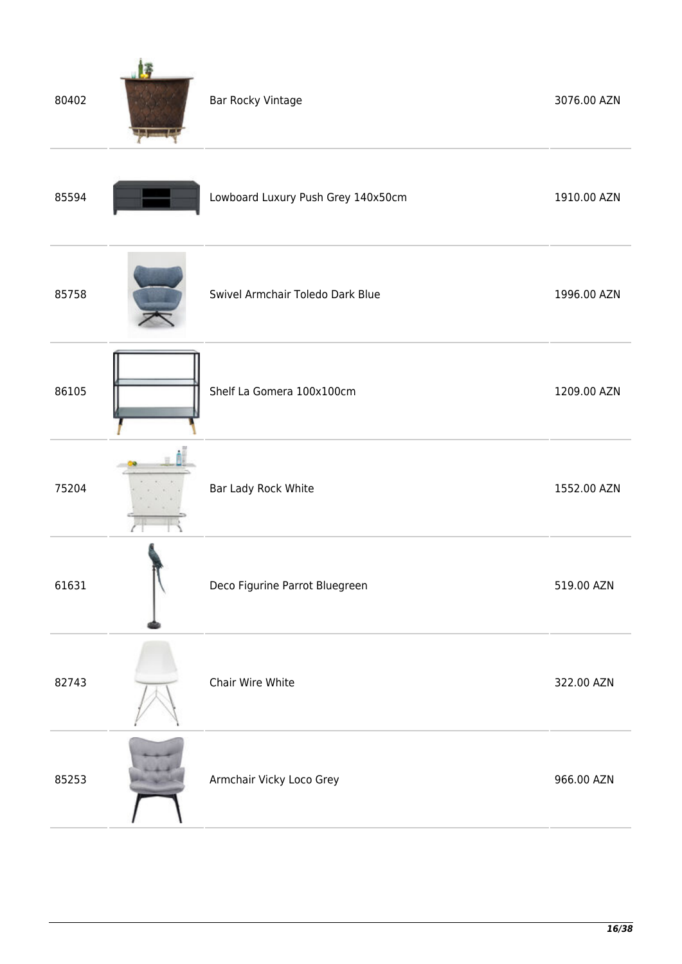| 80402 | Bar Rocky Vintage                  | 3076.00 AZN |
|-------|------------------------------------|-------------|
| 85594 | Lowboard Luxury Push Grey 140x50cm | 1910.00 AZN |
| 85758 | Swivel Armchair Toledo Dark Blue   | 1996.00 AZN |
| 86105 | Shelf La Gomera 100x100cm          | 1209.00 AZN |
| 75204 | Bar Lady Rock White                | 1552.00 AZN |
| 61631 | Deco Figurine Parrot Bluegreen     | 519.00 AZN  |
| 82743 | Chair Wire White                   | 322.00 AZN  |
| 85253 | Armchair Vicky Loco Grey           | 966.00 AZN  |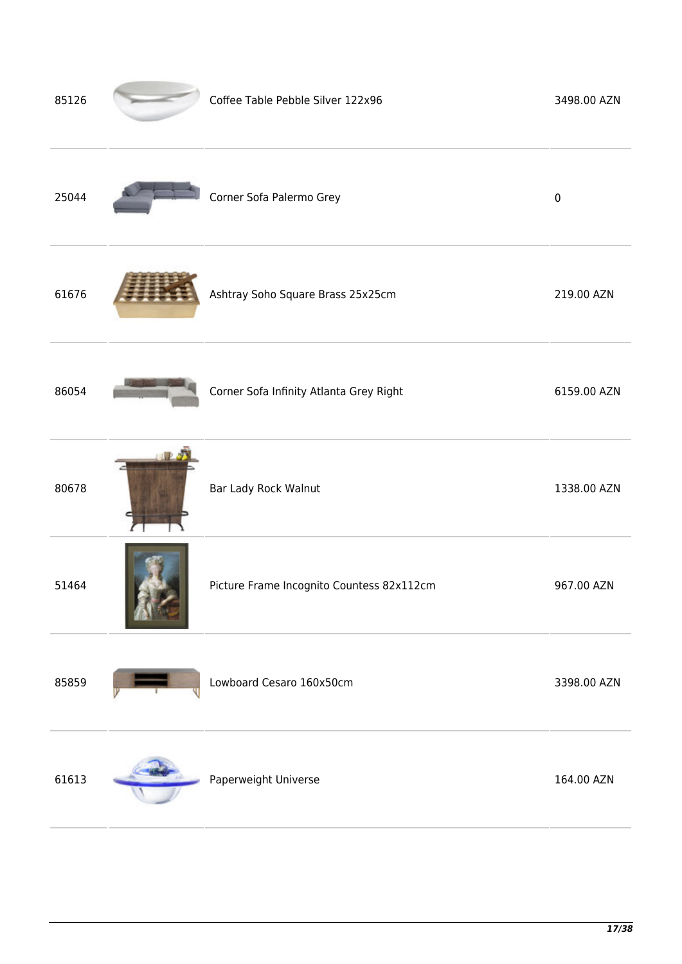| 85126 | Coffee Table Pebble Silver 122x96         | 3498.00 AZN |
|-------|-------------------------------------------|-------------|
| 25044 | Corner Sofa Palermo Grey                  | $\pmb{0}$   |
| 61676 | Ashtray Soho Square Brass 25x25cm         | 219.00 AZN  |
| 86054 | Corner Sofa Infinity Atlanta Grey Right   | 6159.00 AZN |
| 80678 | Bar Lady Rock Walnut                      | 1338.00 AZN |
| 51464 | Picture Frame Incognito Countess 82x112cm | 967.00 AZN  |
| 85859 | Lowboard Cesaro 160x50cm                  | 3398.00 AZN |
| 61613 | Paperweight Universe                      | 164.00 AZN  |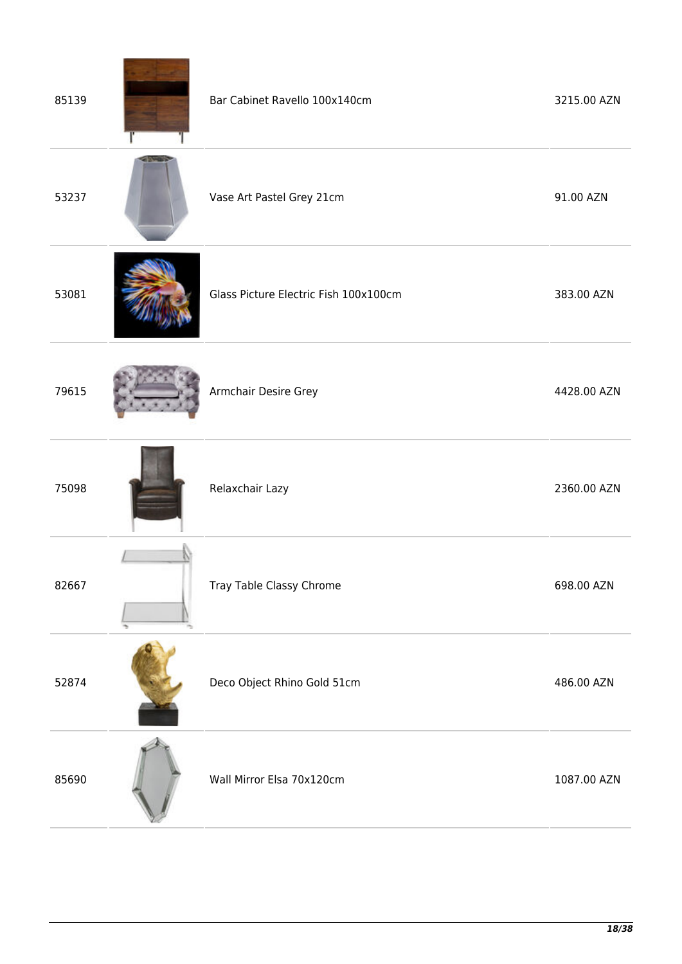| 85139 | Bar Cabinet Ravello 100x140cm         | 3215.00 AZN |
|-------|---------------------------------------|-------------|
| 53237 | Vase Art Pastel Grey 21cm             | 91.00 AZN   |
| 53081 | Glass Picture Electric Fish 100x100cm | 383.00 AZN  |
| 79615 | Armchair Desire Grey                  | 4428.00 AZN |
| 75098 | Relaxchair Lazy                       | 2360.00 AZN |
| 82667 | Tray Table Classy Chrome              | 698.00 AZN  |
| 52874 | Deco Object Rhino Gold 51cm           | 486.00 AZN  |
| 85690 | Wall Mirror Elsa 70x120cm             | 1087.00 AZN |

<u>and the company of the company of the company of the company of the company of the company of the company of the company of the company of the company of the company of the company of the company of the company of the com</u>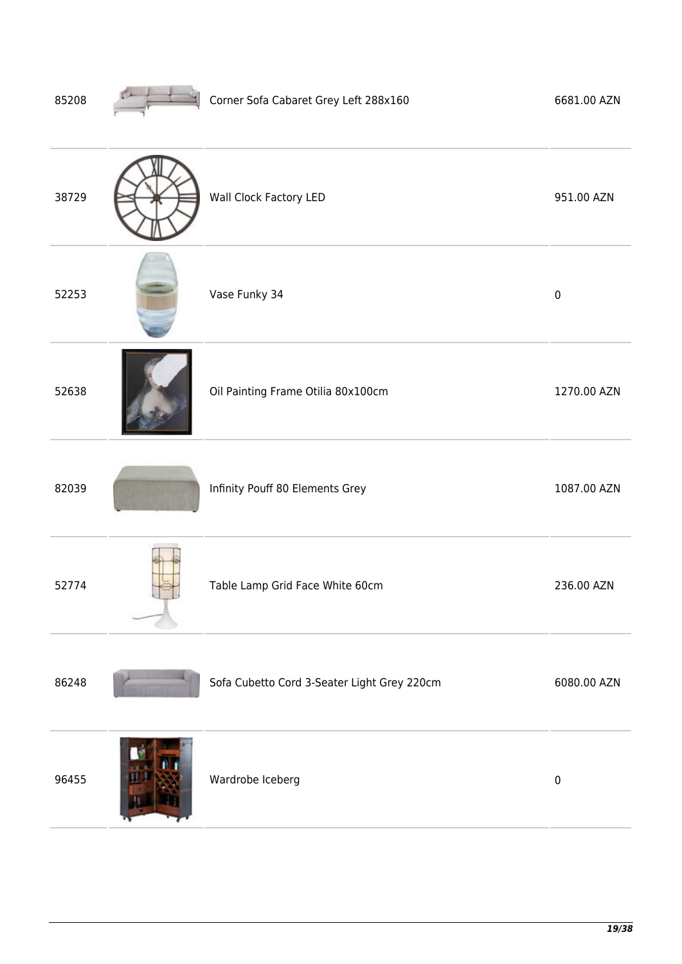| 85208 | Corner Sofa Cabaret Grey Left 288x160       | 6681.00 AZN |
|-------|---------------------------------------------|-------------|
| 38729 | Wall Clock Factory LED                      | 951.00 AZN  |
| 52253 | Vase Funky 34                               | $\pmb{0}$   |
| 52638 | Oil Painting Frame Otilia 80x100cm          | 1270.00 AZN |
| 82039 | Infinity Pouff 80 Elements Grey             | 1087.00 AZN |
| 52774 | Table Lamp Grid Face White 60cm             | 236.00 AZN  |
| 86248 | Sofa Cubetto Cord 3-Seater Light Grey 220cm | 6080.00 AZN |
| 96455 | Wardrobe Iceberg                            | $\pmb{0}$   |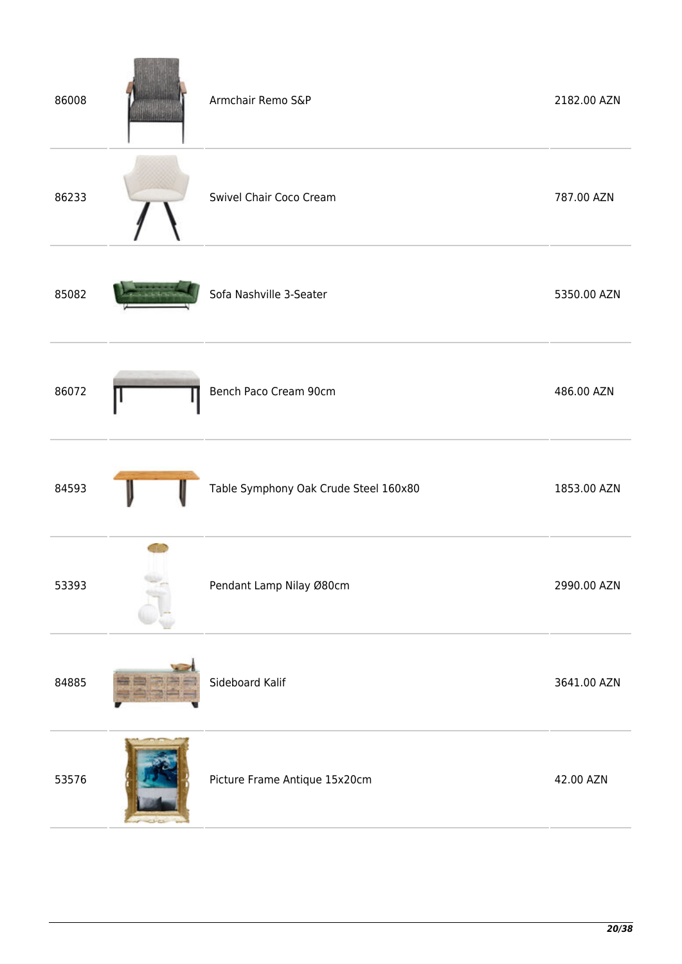| 86008 | Armchair Remo S&P                     | 2182.00 AZN |
|-------|---------------------------------------|-------------|
| 86233 | Swivel Chair Coco Cream               | 787.00 AZN  |
| 85082 | Sofa Nashville 3-Seater               | 5350.00 AZN |
| 86072 | Bench Paco Cream 90cm                 | 486.00 AZN  |
| 84593 | Table Symphony Oak Crude Steel 160x80 | 1853.00 AZN |
| 53393 | Pendant Lamp Nilay Ø80cm              | 2990.00 AZN |
| 84885 | Sideboard Kalif                       | 3641.00 AZN |
| 53576 | Picture Frame Antique 15x20cm         | 42.00 AZN   |

**TELEVISION** in.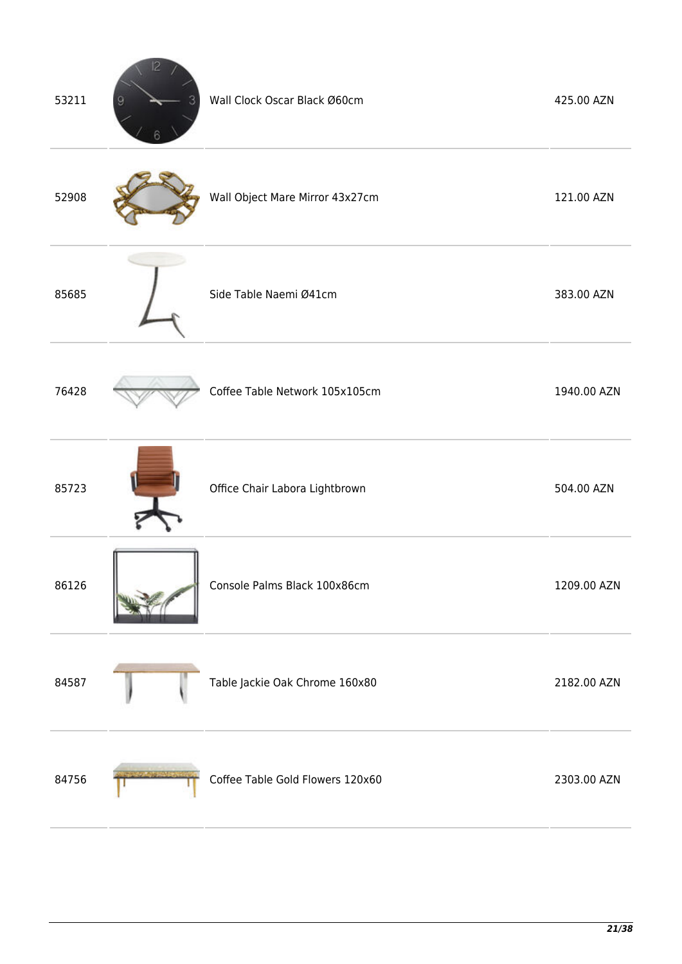| 53211 | p | Wall Clock Oscar Black Ø60cm     | 425.00 AZN  |
|-------|---|----------------------------------|-------------|
| 52908 |   | Wall Object Mare Mirror 43x27cm  | 121.00 AZN  |
| 85685 |   | Side Table Naemi Ø41cm           | 383.00 AZN  |
| 76428 |   | Coffee Table Network 105x105cm   | 1940.00 AZN |
| 85723 |   | Office Chair Labora Lightbrown   | 504.00 AZN  |
| 86126 |   | Console Palms Black 100x86cm     | 1209.00 AZN |
| 84587 |   | Table Jackie Oak Chrome 160x80   | 2182.00 AZN |
| 84756 |   | Coffee Table Gold Flowers 120x60 | 2303.00 AZN |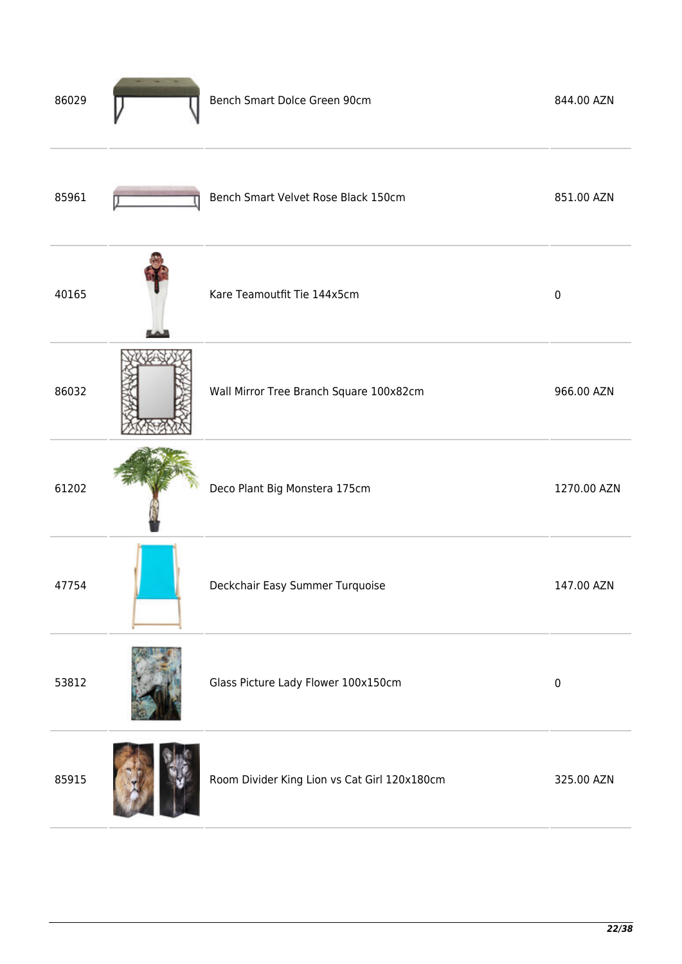| 86029 | Bench Smart Dolce Green 90cm                 | 844.00 AZN  |
|-------|----------------------------------------------|-------------|
| 85961 | Bench Smart Velvet Rose Black 150cm          | 851.00 AZN  |
| 40165 | Kare Teamoutfit Tie 144x5cm                  | $\pmb{0}$   |
| 86032 | Wall Mirror Tree Branch Square 100x82cm      | 966.00 AZN  |
| 61202 | Deco Plant Big Monstera 175cm                | 1270.00 AZN |
| 47754 | Deckchair Easy Summer Turquoise              | 147.00 AZN  |
| 53812 | Glass Picture Lady Flower 100x150cm          | $\pmb{0}$   |
| 85915 | Room Divider King Lion vs Cat Girl 120x180cm | 325.00 AZN  |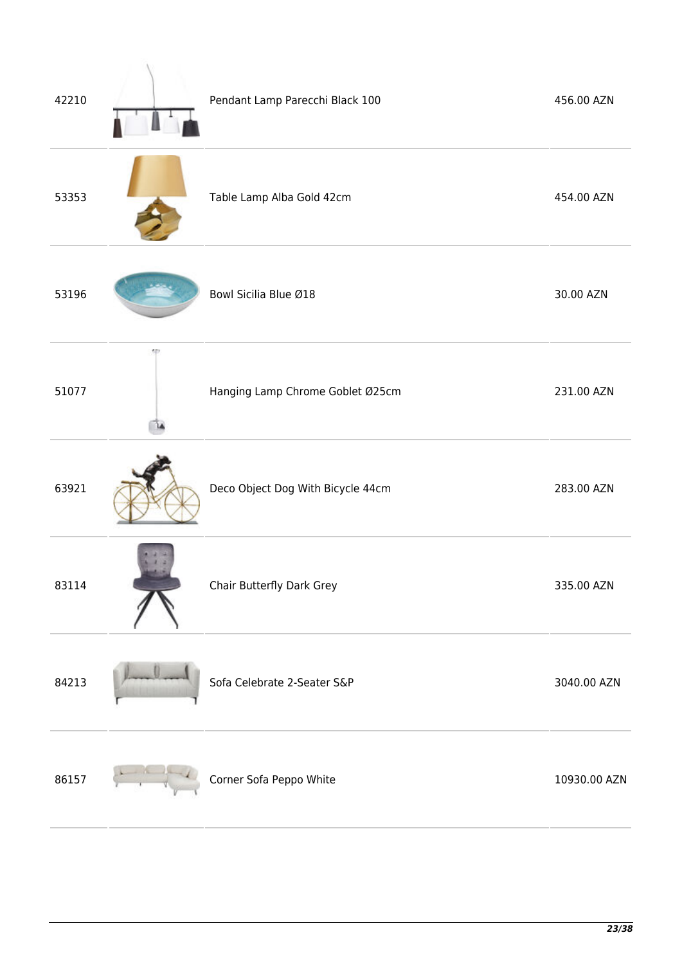| 42210 |    | Pendant Lamp Parecchi Black 100   | 456.00 AZN   |
|-------|----|-----------------------------------|--------------|
| 53353 |    | Table Lamp Alba Gold 42cm         | 454.00 AZN   |
| 53196 |    | Bowl Sicilia Blue Ø18             | 30.00 AZN    |
| 51077 | 50 | Hanging Lamp Chrome Goblet Ø25cm  | 231.00 AZN   |
| 63921 |    | Deco Object Dog With Bicycle 44cm | 283.00 AZN   |
| 83114 |    | Chair Butterfly Dark Grey         | 335.00 AZN   |
| 84213 |    | Sofa Celebrate 2-Seater S&P       | 3040.00 AZN  |
| 86157 |    | Corner Sofa Peppo White           | 10930.00 AZN |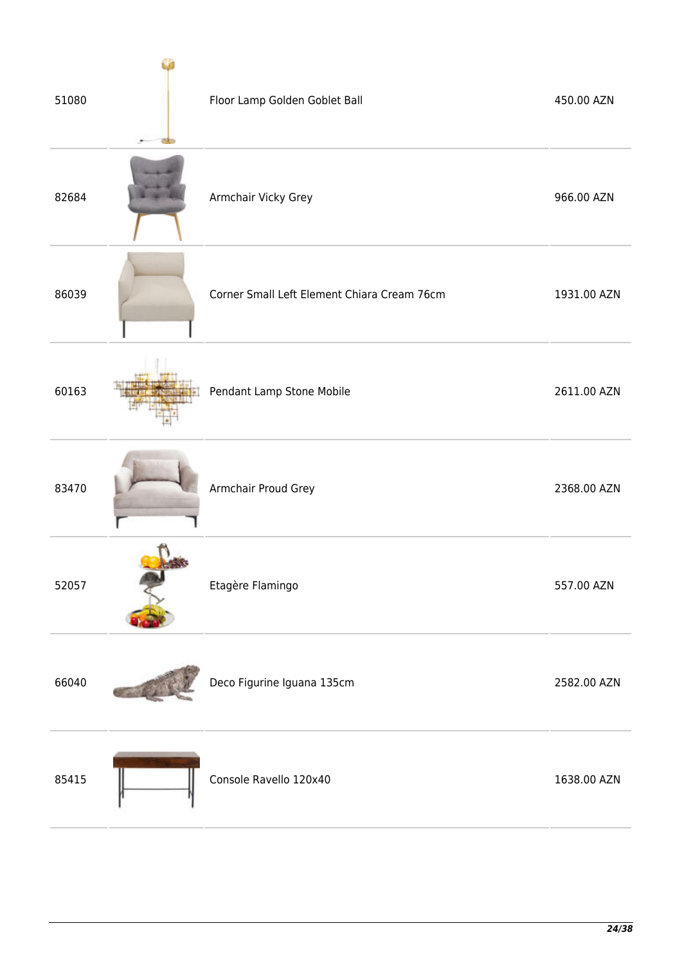| 51080 | Floor Lamp Golden Goblet Ball               | 450.00 AZN  |
|-------|---------------------------------------------|-------------|
| 82684 | Armchair Vicky Grey                         | 966.00 AZN  |
| 86039 | Corner Small Left Element Chiara Cream 76cm | 1931.00 AZN |
| 60163 | Pendant Lamp Stone Mobile                   | 2611.00 AZN |
| 83470 | Armchair Proud Grey                         | 2368.00 AZN |
| 52057 | Etagère Flamingo                            | 557.00 AZN  |
| 66040 | Deco Figurine Iguana 135cm                  | 2582.00 AZN |
| 85415 | Console Ravello 120x40                      | 1638.00 AZN |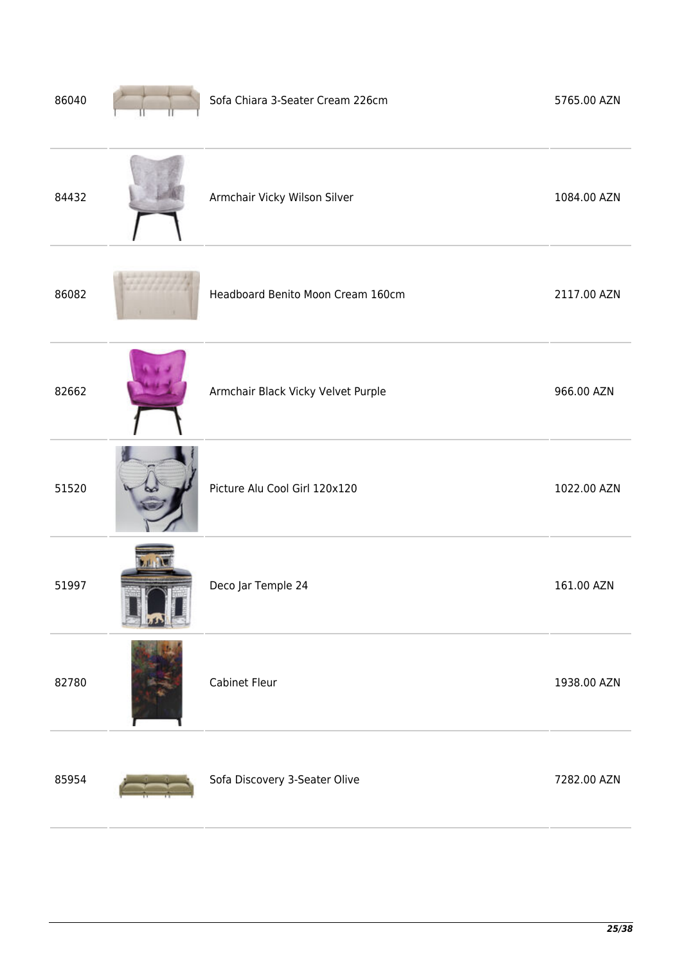| 86040 | Sofa Chiara 3-Seater Cream 226cm   | 5765.00 AZN |
|-------|------------------------------------|-------------|
| 84432 | Armchair Vicky Wilson Silver       | 1084.00 AZN |
| 86082 | Headboard Benito Moon Cream 160cm  | 2117.00 AZN |
| 82662 | Armchair Black Vicky Velvet Purple | 966.00 AZN  |
| 51520 | Picture Alu Cool Girl 120x120      | 1022.00 AZN |
| 51997 | Deco Jar Temple 24                 | 161.00 AZN  |
| 82780 | Cabinet Fleur                      | 1938.00 AZN |
| 85954 | Sofa Discovery 3-Seater Olive      | 7282.00 AZN |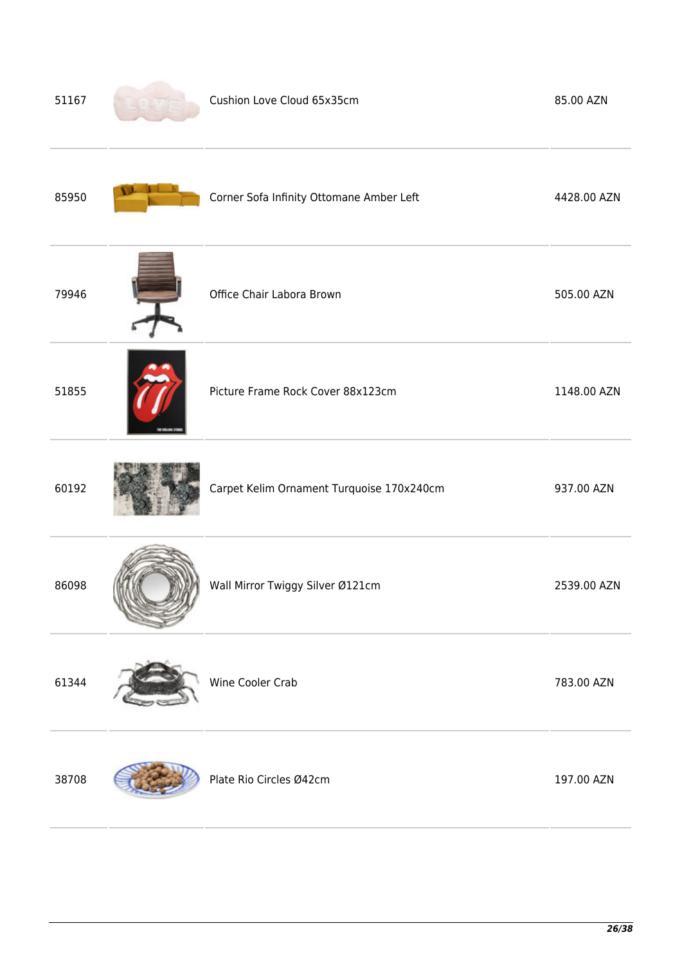| 51167 | Cushion Love Cloud 65x35cm                | 85.00 AZN   |
|-------|-------------------------------------------|-------------|
| 85950 | Corner Sofa Infinity Ottomane Amber Left  | 4428.00 AZN |
| 79946 | Office Chair Labora Brown                 | 505.00 AZN  |
| 51855 | Picture Frame Rock Cover 88x123cm         | 1148.00 AZN |
| 60192 | Carpet Kelim Ornament Turquoise 170x240cm | 937.00 AZN  |
| 86098 | Wall Mirror Twiggy Silver Ø121cm          | 2539.00 AZN |
| 61344 | Wine Cooler Crab                          | 783.00 AZN  |
| 38708 | Plate Rio Circles Ø42cm                   | 197.00 AZN  |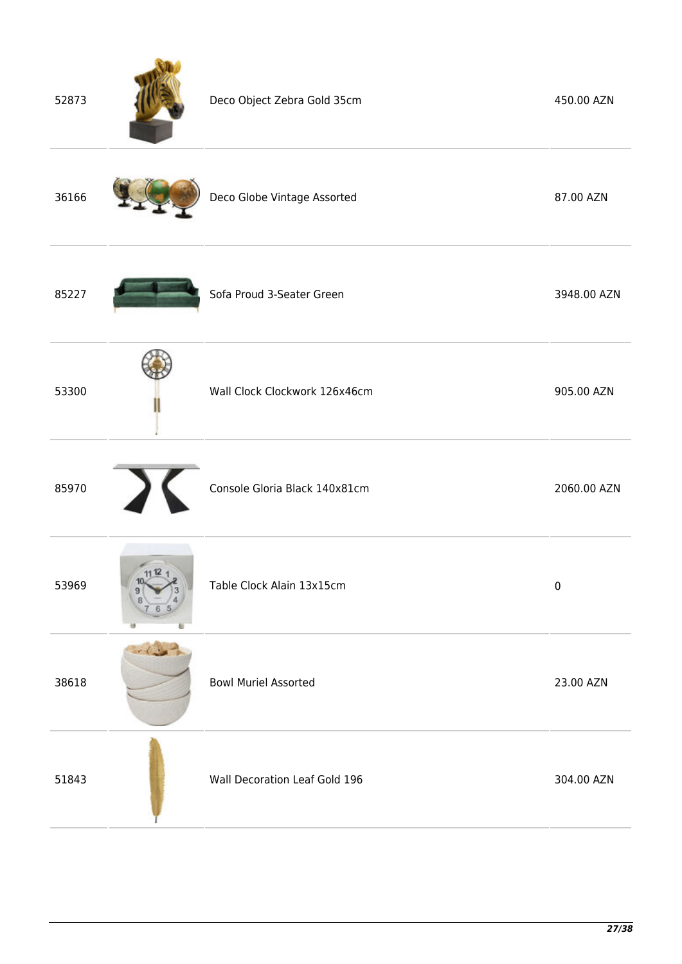| 52873 |      | Deco Object Zebra Gold 35cm   | 450.00 AZN  |
|-------|------|-------------------------------|-------------|
| 36166 |      | Deco Globe Vintage Assorted   | 87.00 AZN   |
| 85227 |      | Sofa Proud 3-Seater Green     | 3948.00 AZN |
| 53300 |      | Wall Clock Clockwork 126x46cm | 905.00 AZN  |
| 85970 |      | Console Gloria Black 140x81cm | 2060.00 AZN |
| 53969 |      | Table Clock Alain 13x15cm     | $\pmb{0}$   |
| 38618 | $-1$ | <b>Bowl Muriel Assorted</b>   | 23.00 AZN   |
| 51843 |      | Wall Decoration Leaf Gold 196 | 304.00 AZN  |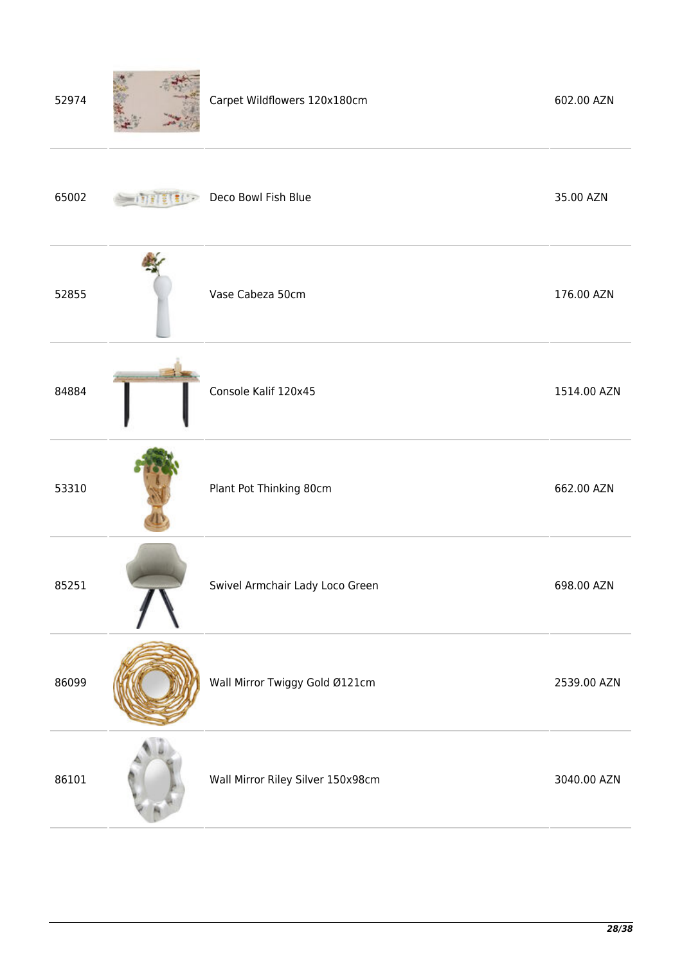| 52974 |  |  | Carpet Wildflowers 120x180cm | 602.00 AZN |
|-------|--|--|------------------------------|------------|
|-------|--|--|------------------------------|------------|

| 65002 | Deco Bowl Fish Blue               | 35.00 AZN   |
|-------|-----------------------------------|-------------|
| 52855 | Vase Cabeza 50cm                  | 176.00 AZN  |
| 84884 | Console Kalif 120x45              | 1514.00 AZN |
| 53310 | Plant Pot Thinking 80cm           | 662.00 AZN  |
| 85251 | Swivel Armchair Lady Loco Green   | 698.00 AZN  |
| 86099 | Wall Mirror Twiggy Gold Ø121cm    | 2539.00 AZN |
| 86101 | Wall Mirror Riley Silver 150x98cm | 3040.00 AZN |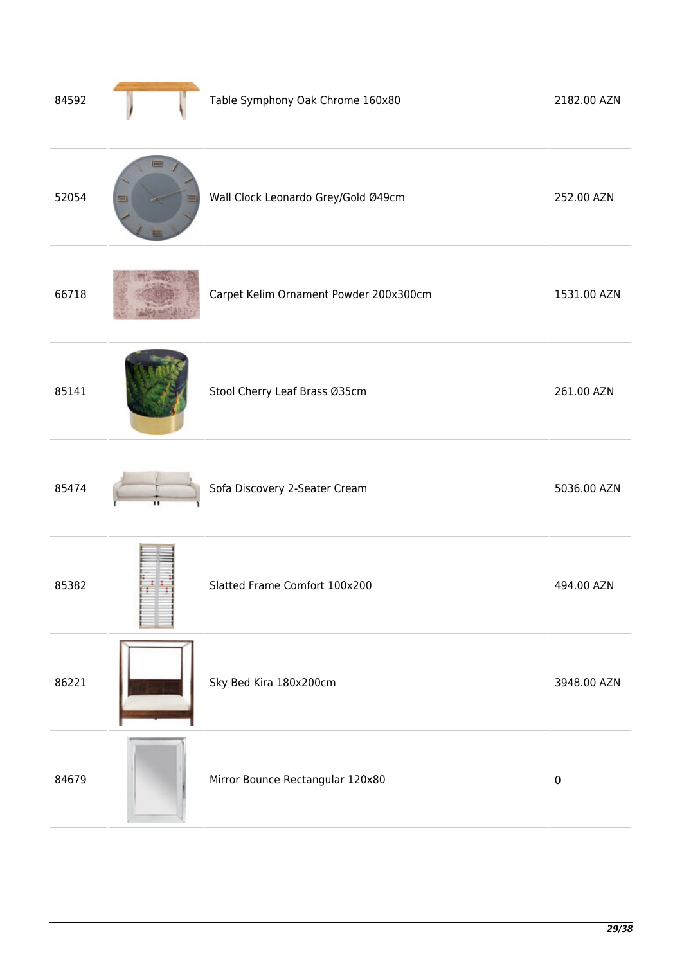| 84592 |   | Table Symphony Oak Chrome 160x80       | 2182.00 AZN |
|-------|---|----------------------------------------|-------------|
| 52054 | ≡ | Wall Clock Leonardo Grey/Gold Ø49cm    | 252.00 AZN  |
| 66718 |   | Carpet Kelim Ornament Powder 200x300cm | 1531.00 AZN |
| 85141 |   | Stool Cherry Leaf Brass Ø35cm          | 261.00 AZN  |
| 85474 |   | Sofa Discovery 2-Seater Cream          | 5036.00 AZN |
| 85382 |   | Slatted Frame Comfort 100x200          | 494.00 AZN  |
| 86221 |   | Sky Bed Kira 180x200cm                 | 3948.00 AZN |
| 84679 |   | Mirror Bounce Rectangular 120x80       | $\pmb{0}$   |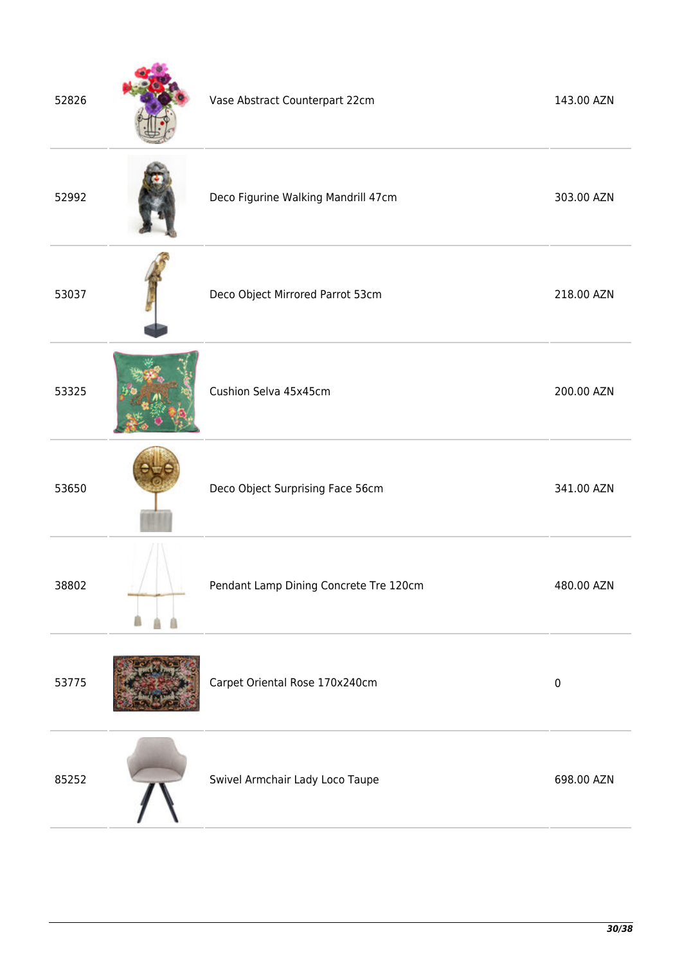| 52826 | Vase Abstract Counterpart 22cm         | 143.00 AZN |
|-------|----------------------------------------|------------|
| 52992 | Deco Figurine Walking Mandrill 47cm    | 303.00 AZN |
| 53037 | Deco Object Mirrored Parrot 53cm       | 218.00 AZN |
| 53325 | Cushion Selva 45x45cm                  | 200.00 AZN |
| 53650 | Deco Object Surprising Face 56cm       | 341.00 AZN |
| 38802 | Pendant Lamp Dining Concrete Tre 120cm | 480.00 AZN |
| 53775 | Carpet Oriental Rose 170x240cm         | $\pmb{0}$  |
| 85252 | Swivel Armchair Lady Loco Taupe        | 698.00 AZN |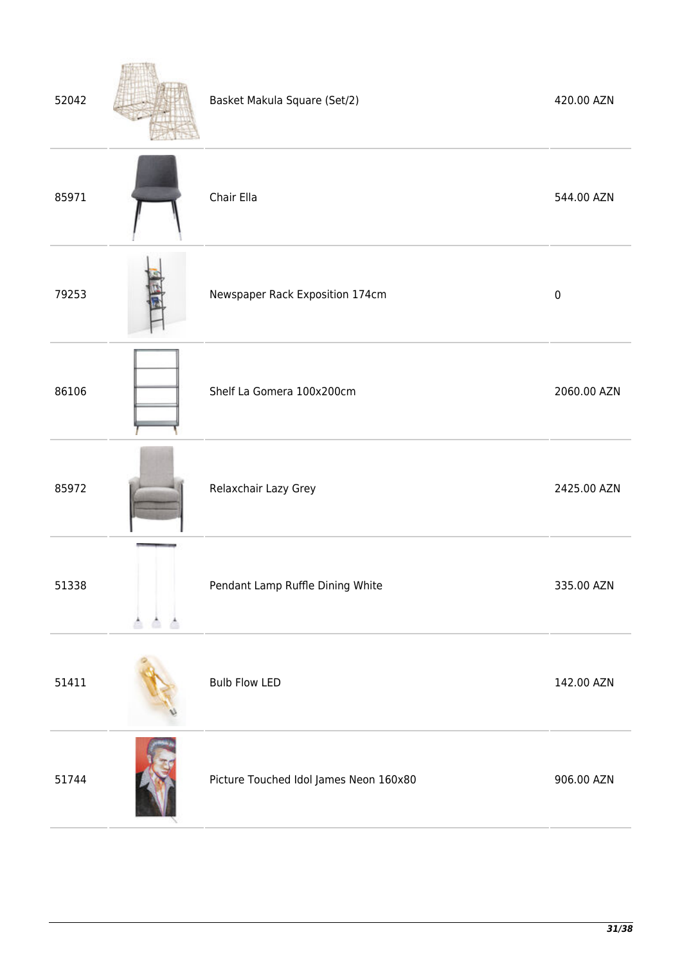| 52042 | Basket Makula Square (Set/2)           | 420.00 AZN  |
|-------|----------------------------------------|-------------|
| 85971 | Chair Ella                             | 544.00 AZN  |
| 79253 | Newspaper Rack Exposition 174cm        | $\pmb{0}$   |
| 86106 | Shelf La Gomera 100x200cm              | 2060.00 AZN |
| 85972 | Relaxchair Lazy Grey                   | 2425.00 AZN |
| 51338 | Pendant Lamp Ruffle Dining White       | 335.00 AZN  |
| 51411 | <b>Bulb Flow LED</b>                   | 142.00 AZN  |
| 51744 | Picture Touched Idol James Neon 160x80 | 906.00 AZN  |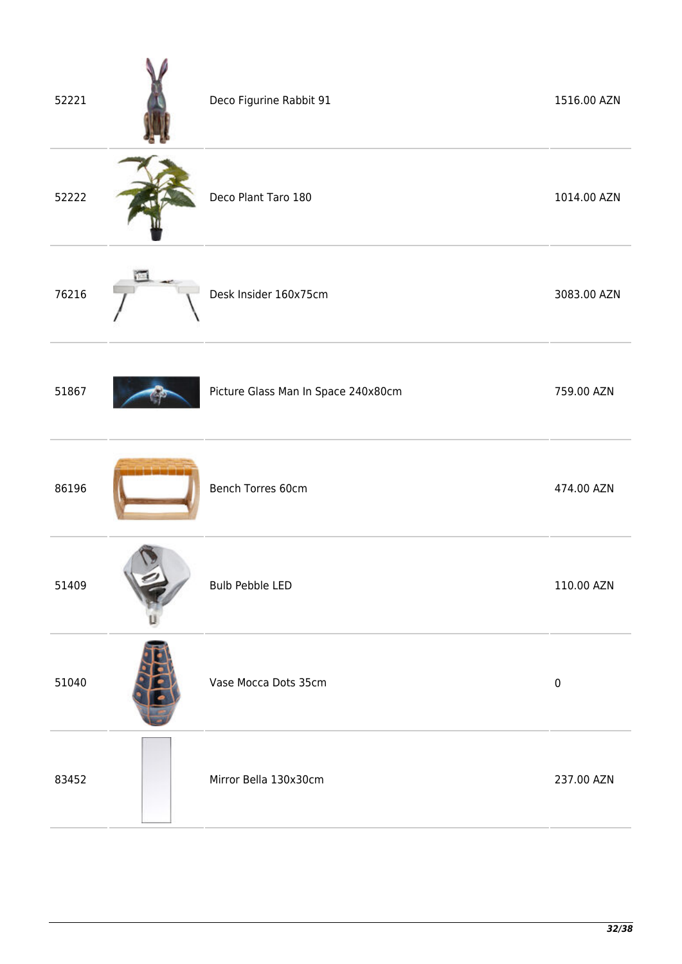| 52221 | Deco Figurine Rabbit 91             | 1516.00 AZN |
|-------|-------------------------------------|-------------|
| 52222 | Deco Plant Taro 180                 | 1014.00 AZN |
| 76216 | Desk Insider 160x75cm               | 3083.00 AZN |
| 51867 | Picture Glass Man In Space 240x80cm | 759.00 AZN  |
| 86196 | Bench Torres 60cm                   | 474.00 AZN  |
| 51409 | <b>Bulb Pebble LED</b>              | 110.00 AZN  |
| 51040 | Vase Mocca Dots 35cm                | $\pmb{0}$   |
| 83452 | Mirror Bella 130x30cm               | 237.00 AZN  |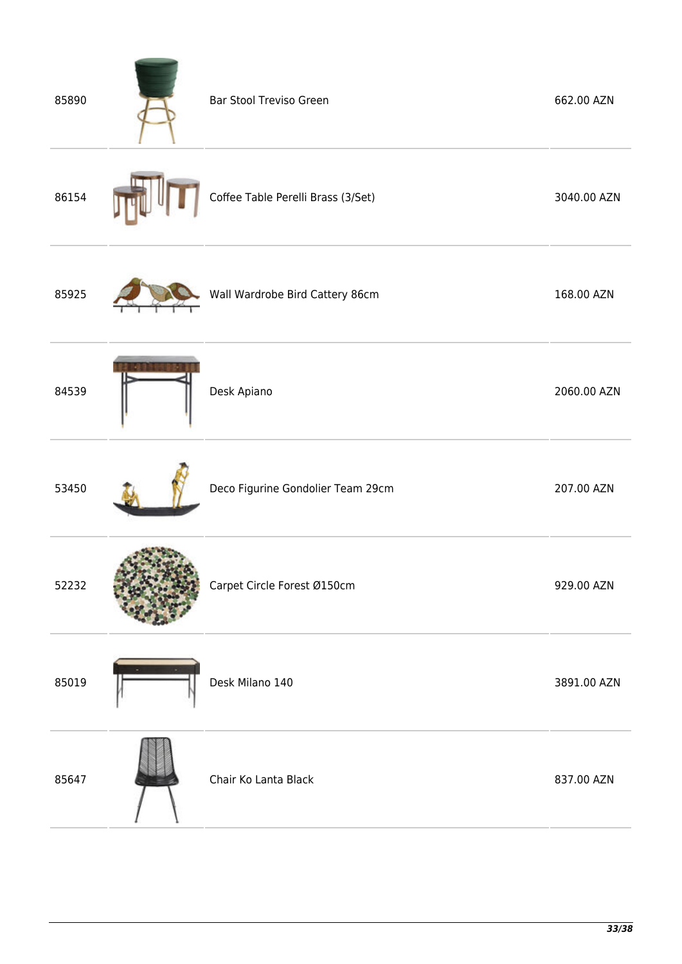| <b>Bar Stool Treviso Green</b>     | 662.00 AZN  |
|------------------------------------|-------------|
| Coffee Table Perelli Brass (3/Set) | 3040.00 AZN |
| Wall Wardrobe Bird Cattery 86cm    | 168.00 AZN  |
| Desk Apiano                        | 2060.00 AZN |
| Deco Figurine Gondolier Team 29cm  | 207.00 AZN  |
| Carpet Circle Forest Ø150cm        | 929.00 AZN  |
| Desk Milano 140                    | 3891.00 AZN |
| Chair Ko Lanta Black               | 837.00 AZN  |
|                                    |             |

**Contract Contract Contract**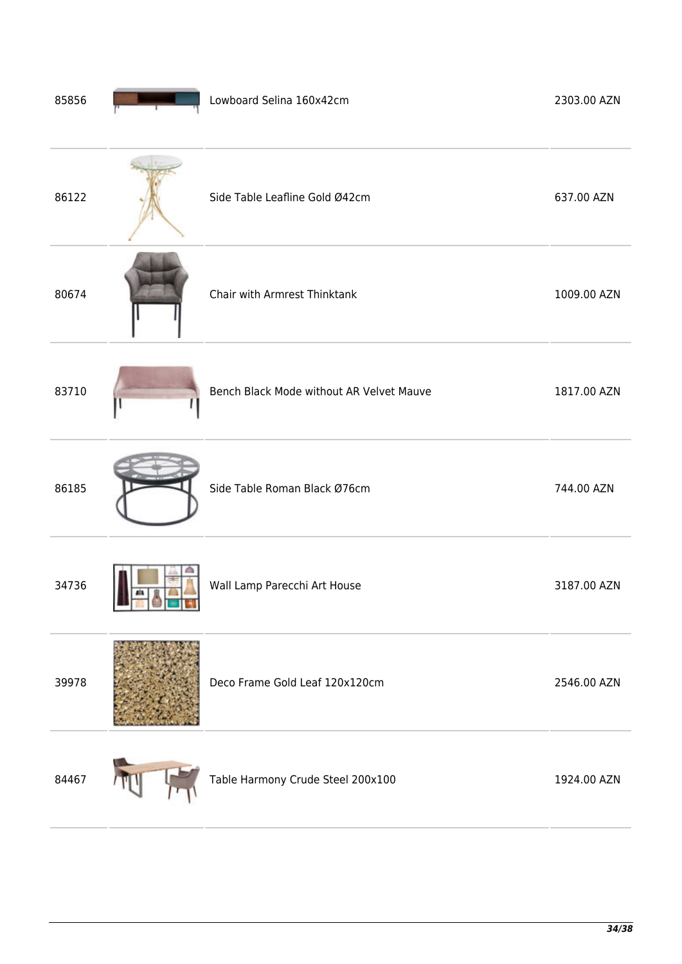| 85856 |        | Lowboard Selina 160x42cm                 | 2303.00 AZN |
|-------|--------|------------------------------------------|-------------|
| 86122 |        | Side Table Leafline Gold Ø42cm           | 637.00 AZN  |
| 80674 |        | Chair with Armrest Thinktank             | 1009.00 AZN |
| 83710 |        | Bench Black Mode without AR Velvet Mauve | 1817.00 AZN |
| 86185 |        | Side Table Roman Black Ø76cm             | 744.00 AZN  |
| 34736 | ■■●■■■ | Wall Lamp Parecchi Art House             | 3187.00 AZN |
| 39978 |        | Deco Frame Gold Leaf 120x120cm           | 2546.00 AZN |
| 84467 |        | Table Harmony Crude Steel 200x100        | 1924.00 AZN |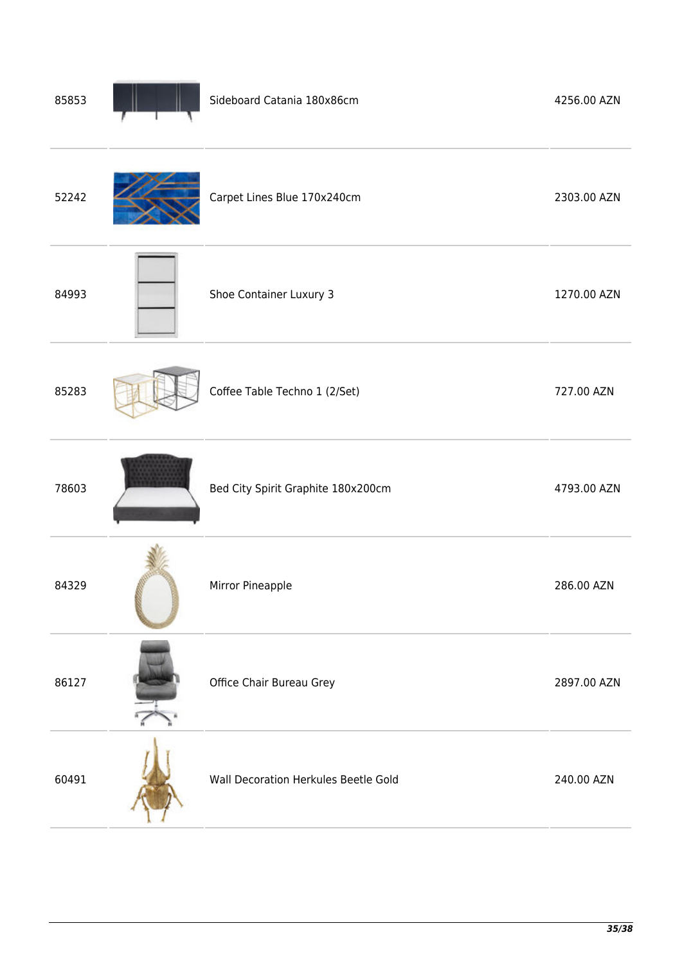| 85853 | Sideboard Catania 180x86cm           | 4256.00 AZN |
|-------|--------------------------------------|-------------|
| 52242 | Carpet Lines Blue 170x240cm          | 2303.00 AZN |
| 84993 | Shoe Container Luxury 3              | 1270.00 AZN |
| 85283 | Coffee Table Techno 1 (2/Set)        | 727.00 AZN  |
| 78603 | Bed City Spirit Graphite 180x200cm   | 4793.00 AZN |
| 84329 | Mirror Pineapple                     | 286.00 AZN  |
| 86127 | Office Chair Bureau Grey             | 2897.00 AZN |
| 60491 | Wall Decoration Herkules Beetle Gold | 240.00 AZN  |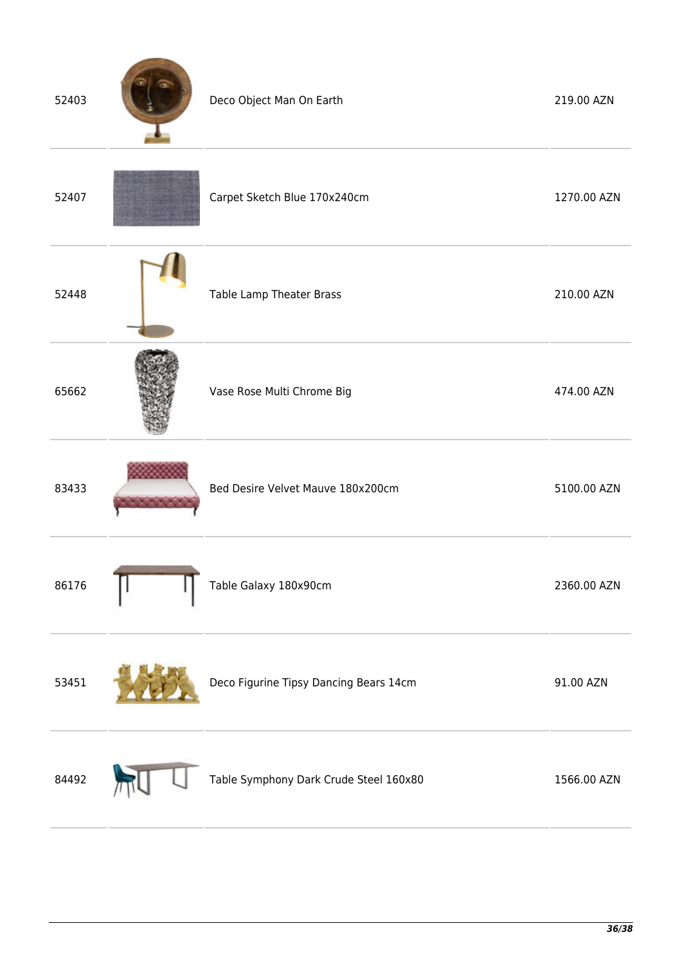| 52403 | Deco Object Man On Earth               | 219.00 AZN  |
|-------|----------------------------------------|-------------|
| 52407 | Carpet Sketch Blue 170x240cm           | 1270.00 AZN |
| 52448 | Table Lamp Theater Brass               | 210.00 AZN  |
| 65662 | Vase Rose Multi Chrome Big             | 474.00 AZN  |
| 83433 | Bed Desire Velvet Mauve 180x200cm      | 5100.00 AZN |
| 86176 | Table Galaxy 180x90cm                  | 2360.00 AZN |
| 53451 | Deco Figurine Tipsy Dancing Bears 14cm | 91.00 AZN   |
| 84492 | Table Symphony Dark Crude Steel 160x80 | 1566.00 AZN |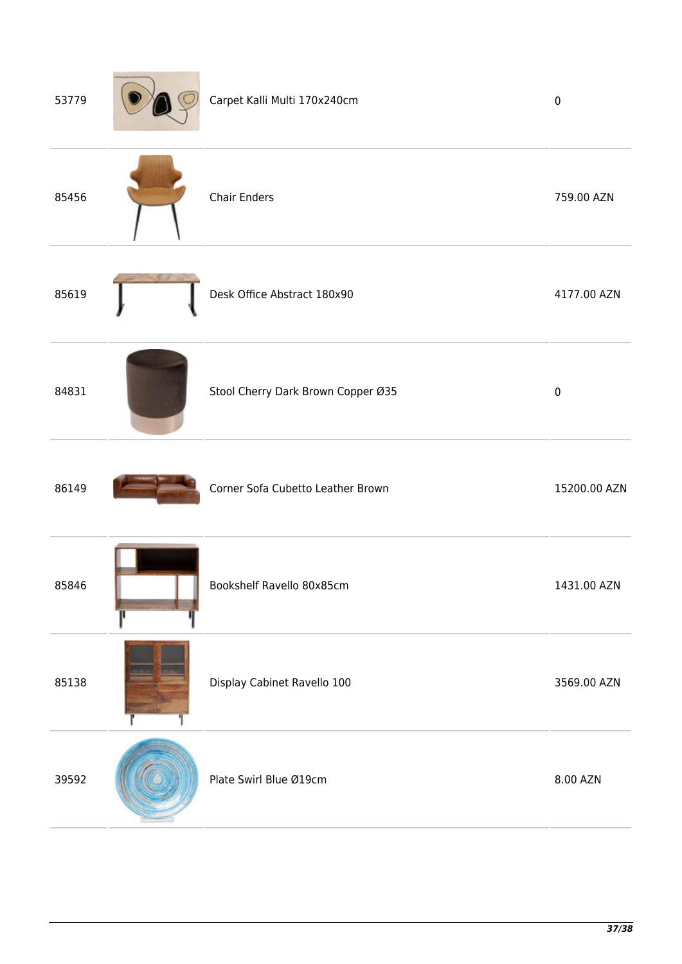| 53779 | Carpet Kalli Multi 170x240cm       | $\pmb{0}$    |
|-------|------------------------------------|--------------|
| 85456 | <b>Chair Enders</b>                | 759.00 AZN   |
| 85619 | Desk Office Abstract 180x90        | 4177.00 AZN  |
| 84831 | Stool Cherry Dark Brown Copper Ø35 | $\pmb{0}$    |
| 86149 | Corner Sofa Cubetto Leather Brown  | 15200.00 AZN |
| 85846 | Bookshelf Ravello 80x85cm          | 1431.00 AZN  |
| 85138 | Display Cabinet Ravello 100        | 3569.00 AZN  |
| 39592 | Plate Swirl Blue Ø19cm             | 8.00 AZN     |